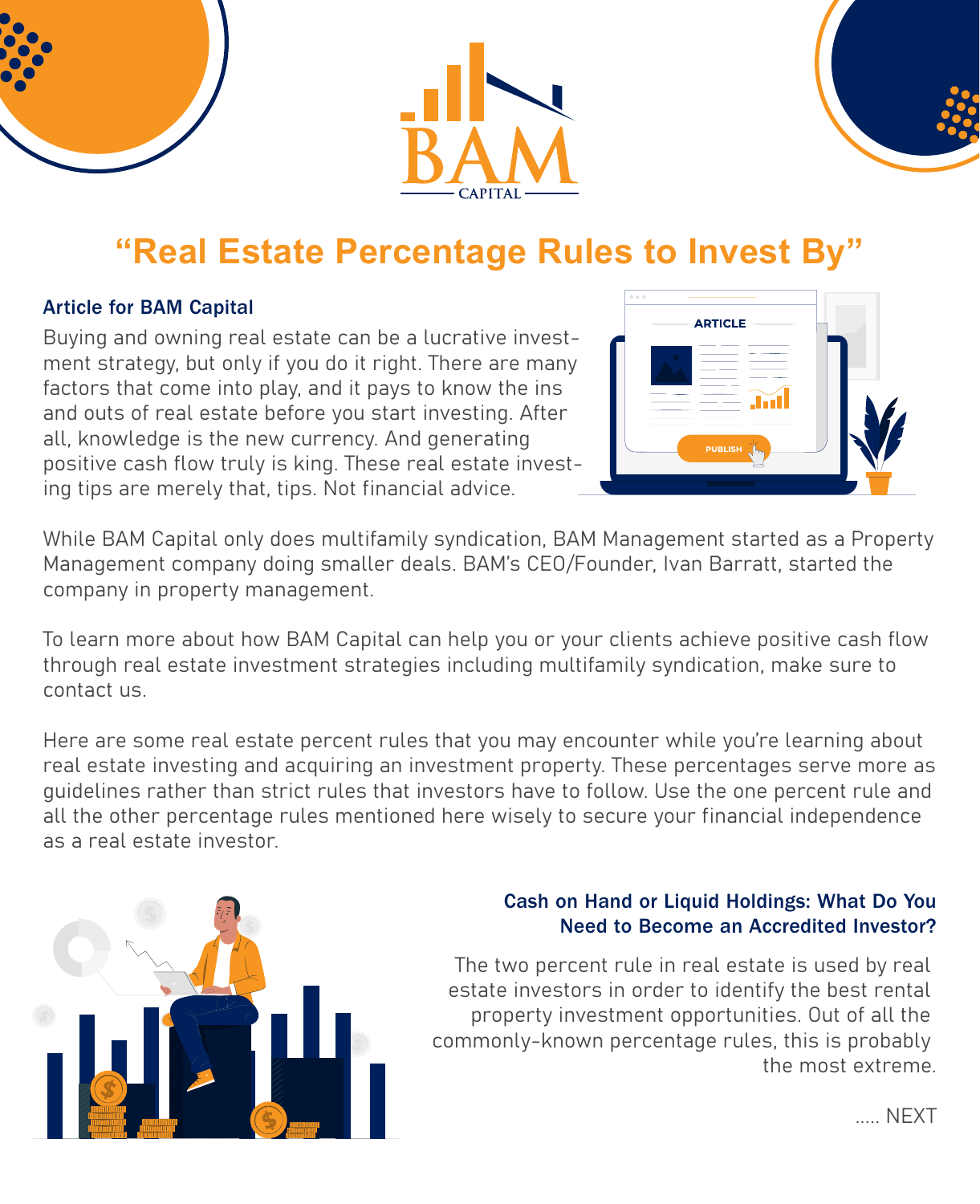





# **"Real Estate Percentage Rules to Invest By"**

### Article for BAM Capital

Buying and owning real estate can be a lucrative investment strategy, but only if you do it right. There are many factors that come into play, and it pays to know the ins and outs of real estate before you start investing. After all, knowledge is the new currency. And generating positive cash flow truly is king. These real estate investing tips are merely that, tips. Not financial advice.



While BAM Capital only does multifamily syndication, BAM Management started as a Property Management company doing smaller deals. BAM's CEO/Founder, Ivan Barratt, started the company in property management.

To learn more about how BAM Capital can help you or your clients achieve positive cash flow through real estate investment strategies including multifamily syndication, make sure to contact us.

Here are some real estate percent rules that you may encounter while you're learning about real estate investing and acquiring an investment property. These percentages serve more as guidelines rather than strict rules that investors have to follow. Use the one percent rule and all the other percentage rules mentioned here wisely to secure your financial independence as a real estate investor.



## Cash on Hand or Liquid Holdings: What Do You Need to Become an Accredited Investor?

The two percent rule in real estate is used by real estate investors in order to identify the best rental property investment opportunities. Out of all the commonly-known percentage rules, this is probably the most extreme.

..... NEXT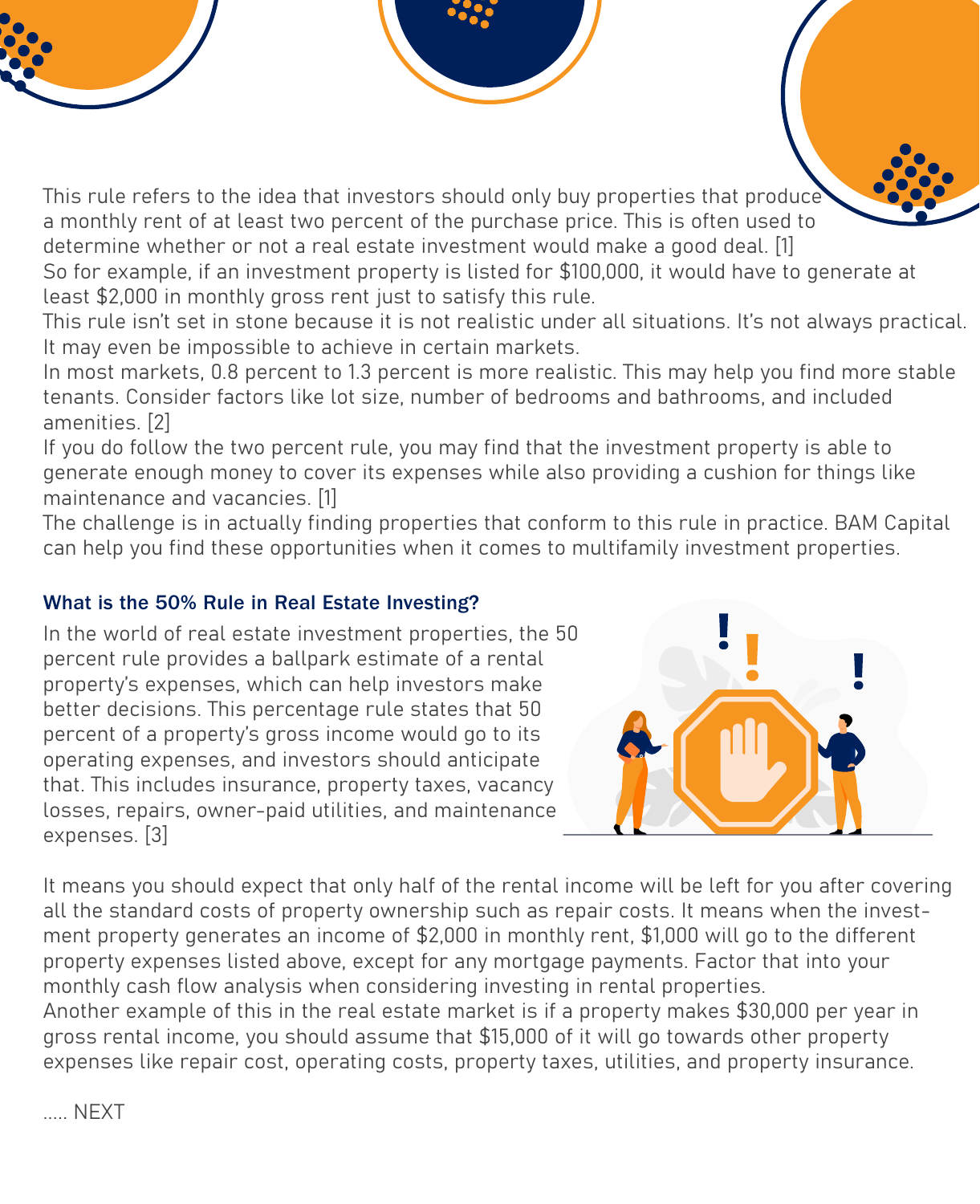This rule refers to the idea that investors should only buy properties that produce a monthly rent of at least two percent of the purchase price. This is often used to determine whether or not a real estate investment would make a good deal. [1]

So for example, if an investment property is listed for \$100,000, it would have to generate at least \$2,000 in monthly gross rent just to satisfy this rule.

This rule isn't set in stone because it is not realistic under all situations. It's not always practical. It may even be impossible to achieve in certain markets.

In most markets, 0.8 percent to 1.3 percent is more realistic. This may help you find more stable tenants. Consider factors like lot size, number of bedrooms and bathrooms, and included amenities. [2]

If you do follow the two percent rule, you may find that the investment property is able to generate enough money to cover its expenses while also providing a cushion for things like maintenance and vacancies. [1]

The challenge is in actually finding properties that conform to this rule in practice. BAM Capital can help you find these opportunities when it comes to multifamily investment properties.

## What is the 50% Rule in Real Estate Investing?

In the world of real estate investment properties, the 50 percent rule provides a ballpark estimate of a rental property's expenses, which can help investors make better decisions. This percentage rule states that 50 percent of a property's gross income would go to its operating expenses, and investors should anticipate that. This includes insurance, property taxes, vacancy losses, repairs, owner-paid utilities, and maintenance expenses. [3]



It means you should expect that only half of the rental income will be left for you after covering all the standard costs of property ownership such as repair costs. It means when the investment property generates an income of \$2,000 in monthly rent, \$1,000 will go to the different property expenses listed above, except for any mortgage payments. Factor that into your monthly cash flow analysis when considering investing in rental properties. Another example of this in the real estate market is if a property makes \$30,000 per year in gross rental income, you should assume that \$15,000 of it will go towards other property expenses like repair cost, operating costs, property taxes, utilities, and property insurance.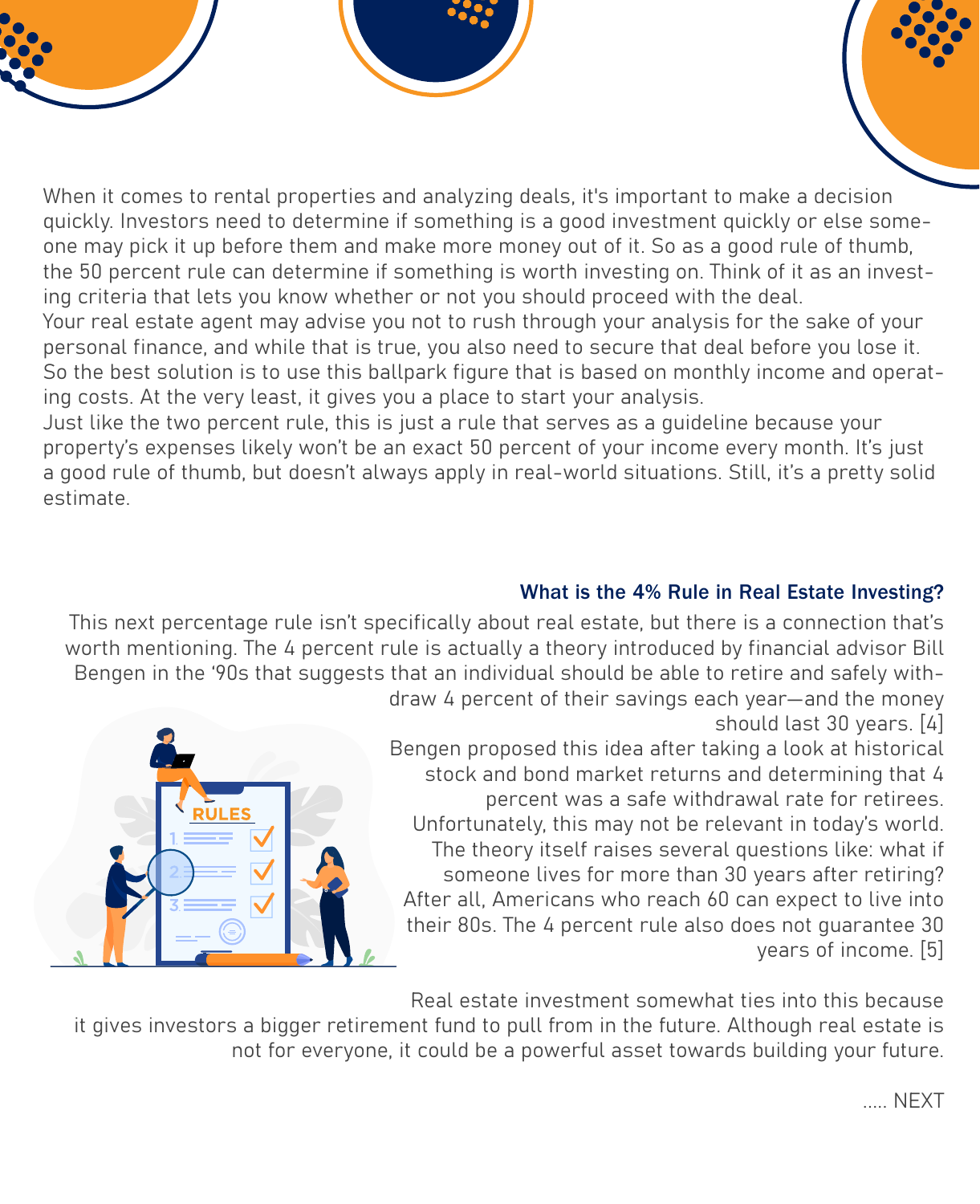When it comes to rental properties and analyzing deals, it's important to make a decision quickly. Investors need to determine if something is a good investment quickly or else someone may pick it up before them and make more money out of it. So as a good rule of thumb, the 50 percent rule can determine if something is worth investing on. Think of it as an investing criteria that lets you know whether or not you should proceed with the deal. Your real estate agent may advise you not to rush through your analysis for the sake of your

personal finance, and while that is true, you also need to secure that deal before you lose it. So the best solution is to use this ballpark figure that is based on monthly income and operating costs. At the very least, it gives you a place to start your analysis.

Just like the two percent rule, this is just a rule that serves as a guideline because your property's expenses likely won't be an exact 50 percent of your income every month. It's just a good rule of thumb, but doesn't always apply in real-world situations. Still, it's a pretty solid estimate.

## What is the 4% Rule in Real Estate Investing?

This next percentage rule isn't specifically about real estate, but there is a connection that's worth mentioning. The 4 percent rule is actually a theory introduced by financial advisor Bill Bengen in the '90s that suggests that an individual should be able to retire and safely withdraw 4 percent of their savings each year—and the money



should last 30 years. [4] Bengen proposed this idea after taking a look at historical stock and bond market returns and determining that 4 percent was a safe withdrawal rate for retirees. Unfortunately, this may not be relevant in today's world. The theory itself raises several questions like: what if someone lives for more than 30 years after retiring? After all, Americans who reach 60 can expect to live into their 80s. The 4 percent rule also does not guarantee 30 years of income. [5]

Real estate investment somewhat ties into this because

it gives investors a bigger retirement fund to pull from in the future. Although real estate is not for everyone, it could be a powerful asset towards building your future.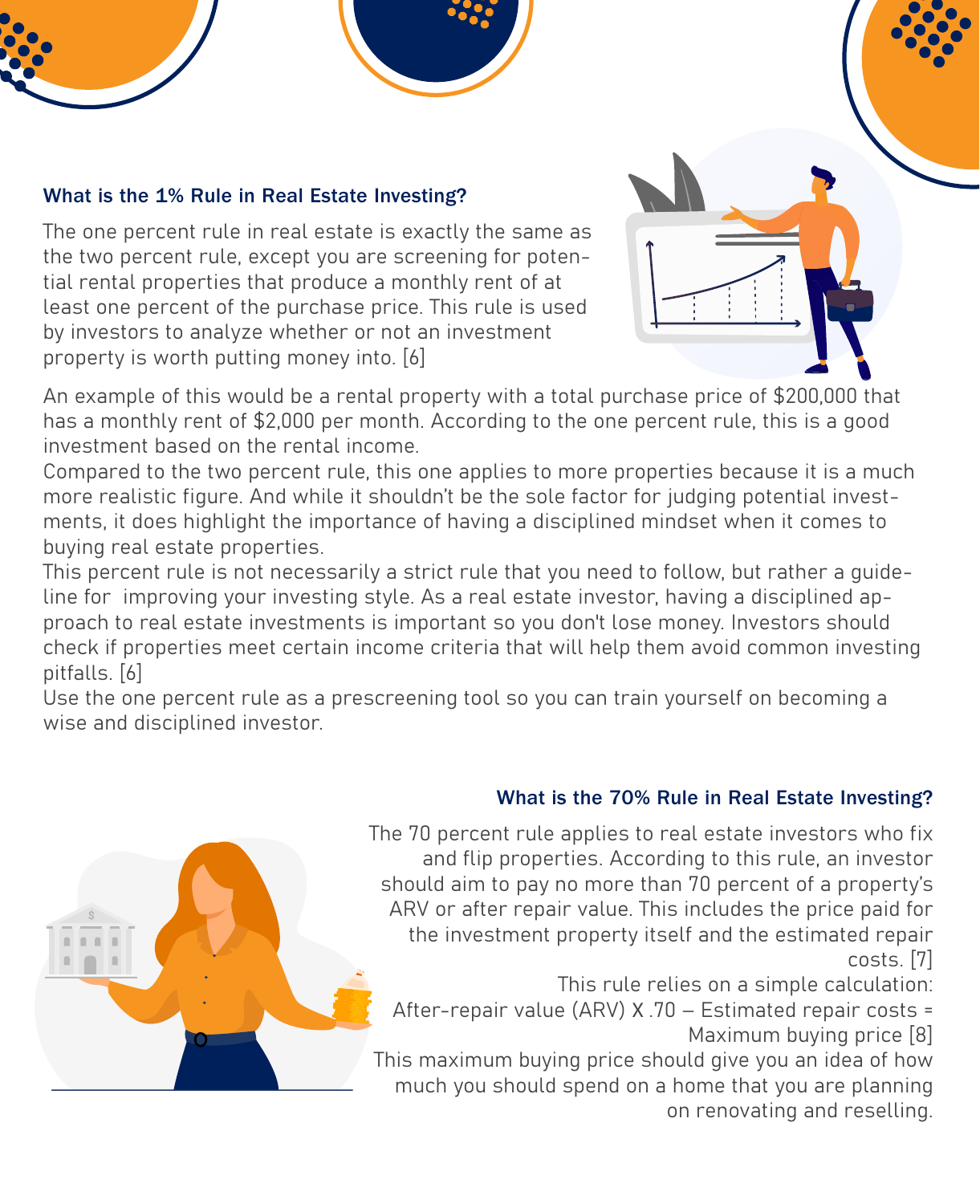## What is the 1% Rule in Real Estate Investing?

The one percent rule in real estate is exactly the same as the two percent rule, except you are screening for potential rental properties that produce a monthly rent of at least one percent of the purchase price. This rule is used by investors to analyze whether or not an investment property is worth putting money into. [6]

An example of this would be a rental property with a total purchase price of \$200,000 that has a monthly rent of \$2,000 per month. According to the one percent rule, this is a good investment based on the rental income.

Compared to the two percent rule, this one applies to more properties because it is a much more realistic figure. And while it shouldn't be the sole factor for judging potential investments, it does highlight the importance of having a disciplined mindset when it comes to buying real estate properties.

This percent rule is not necessarily a strict rule that you need to follow, but rather a guideline for improving your investing style. As a real estate investor, having a disciplined approach to real estate investments is important so you don't lose money. Investors should check if properties meet certain income criteria that will help them avoid common investing pitfalls. [6]

Use the one percent rule as a prescreening tool so you can train yourself on becoming a wise and disciplined investor.



#### What is the 70% Rule in Real Estate Investing?

The 70 percent rule applies to real estate investors who fix and flip properties. According to this rule, an investor should aim to pay no more than 70 percent of a property's ARV or after repair value. This includes the price paid for the investment property itself and the estimated repair costs. [7]

This rule relies on a simple calculation:

After-repair value (ARV) X .70 − Estimated repair costs = Maximum buying price [8]

This maximum buying price should give you an idea of how much you should spend on a home that you are planning on renovating and reselling.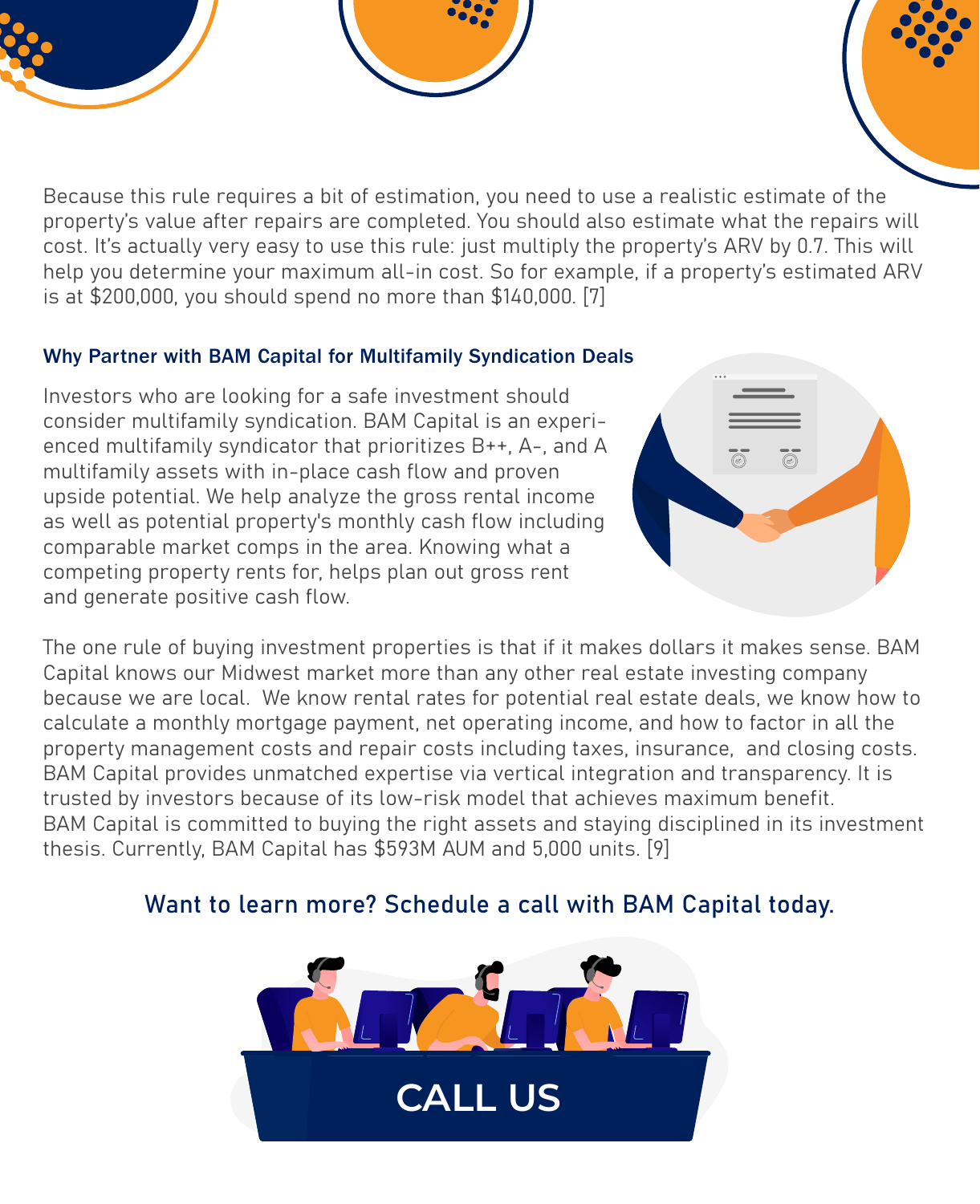Because this rule requires a bit of estimation, you need to use a realistic estimate of the property's value after repairs are completed. You should also estimate what the repairs will cost. It's actually very easy to use this rule: just multiply the property's ARV by 0.7. This will help you determine your maximum all-in cost. So for example, if a property's estimated ARV is at \$200,000, you should spend no more than \$140,000. [7]

#### Why Partner with BAM Capital for Multifamily Syndication Deals

Investors who are looking for a safe investment should consider multifamily syndication. BAM Capital is an experienced multifamily syndicator that prioritizes B++, A-, and A multifamily assets with in-place cash flow and proven upside potential. We help analyze the gross rental income as well as potential property's monthly cash flow including comparable market comps in the area. Knowing what a competing property rents for, helps plan out gross rent and generate positive cash flow.



The one rule of buying investment properties is that if it makes dollars it makes sense. BAM Capital knows our Midwest market more than any other real estate investing company because we are local. We know rental rates for potential real estate deals, we know how to calculate a monthly mortgage payment, net operating income, and how to factor in all the property management costs and repair costs including taxes, insurance, and closing costs. BAM Capital provides unmatched expertise via vertical integration and transparency. It is trusted by investors because of its low-risk model that achieves maximum benefit. BAM Capital is committed to buying the right assets and staying disciplined in its investment thesis. Currently, BAM Capital has \$593M AUM and 5,000 units. [9]

## Want to learn more? Schedule a call with BAM Capital today.